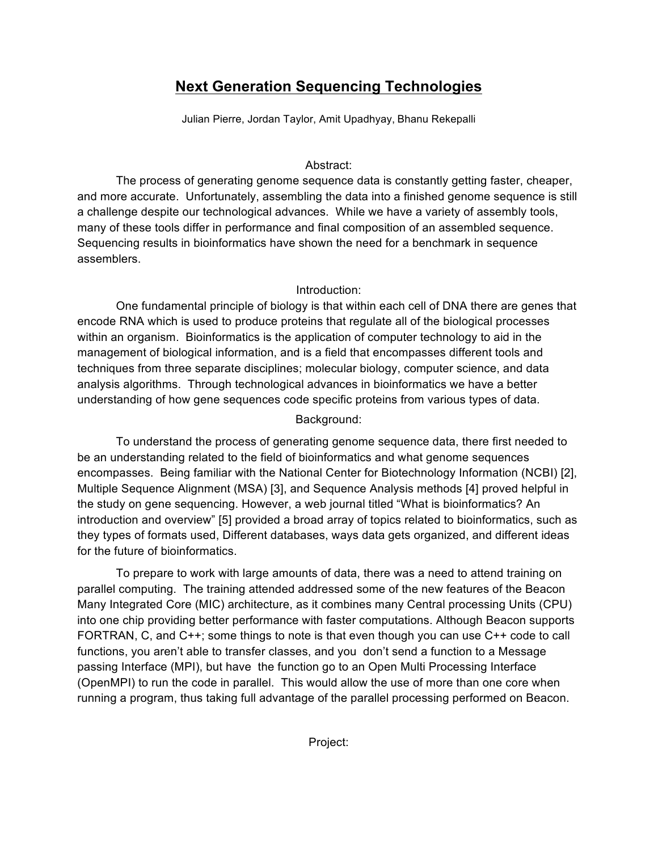# **Next Generation Sequencing Technologies**

Julian Pierre, Jordan Taylor, Amit Upadhyay, Bhanu Rekepalli

## Abstract:

The process of generating genome sequence data is constantly getting faster, cheaper, and more accurate. Unfortunately, assembling the data into a finished genome sequence is still a challenge despite our technological advances. While we have a variety of assembly tools, many of these tools differ in performance and final composition of an assembled sequence. Sequencing results in bioinformatics have shown the need for a benchmark in sequence assemblers.

## Introduction:

One fundamental principle of biology is that within each cell of DNA there are genes that encode RNA which is used to produce proteins that regulate all of the biological processes within an organism. Bioinformatics is the application of computer technology to aid in the management of biological information, and is a field that encompasses different tools and techniques from three separate disciplines; molecular biology, computer science, and data analysis algorithms. Through technological advances in bioinformatics we have a better understanding of how gene sequences code specific proteins from various types of data.

# Background:

To understand the process of generating genome sequence data, there first needed to be an understanding related to the field of bioinformatics and what genome sequences encompasses. Being familiar with the National Center for Biotechnology Information (NCBI) [2], Multiple Sequence Alignment (MSA) [3], and Sequence Analysis methods [4] proved helpful in the study on gene sequencing. However, a web journal titled "What is bioinformatics? An introduction and overview" [5] provided a broad array of topics related to bioinformatics, such as they types of formats used, Different databases, ways data gets organized, and different ideas for the future of bioinformatics.

To prepare to work with large amounts of data, there was a need to attend training on parallel computing. The training attended addressed some of the new features of the Beacon Many Integrated Core (MIC) architecture, as it combines many Central processing Units (CPU) into one chip providing better performance with faster computations. Although Beacon supports FORTRAN, C, and C++; some things to note is that even though you can use C++ code to call functions, you aren't able to transfer classes, and you don't send a function to a Message passing Interface (MPI), but have the function go to an Open Multi Processing Interface (OpenMPI) to run the code in parallel. This would allow the use of more than one core when running a program, thus taking full advantage of the parallel processing performed on Beacon.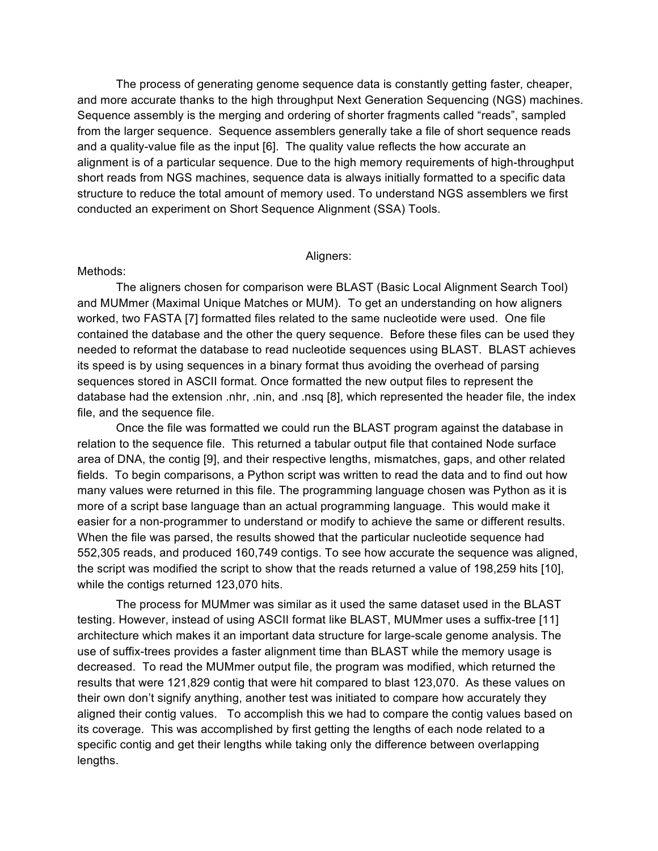The process of generating genome sequence data is constantly getting faster, cheaper, and more accurate thanks to the high throughput Next Generation Sequencing (NGS) machines. Sequence assembly is the merging and ordering of shorter fragments called "reads", sampled from the larger sequence. Sequence assemblers generally take a file of short sequence reads and a quality-value file as the input [6]. The quality value reflects the how accurate an alignment is of a particular sequence. Due to the high memory requirements of high-throughput short reads from NGS machines, sequence data is always initially formatted to a specific data structure to reduce the total amount of memory used. To understand NGS assemblers we first conducted an experiment on Short Sequence Alignment (SSA) Tools.

#### Aligners:

#### Methods:

 The aligners chosen for comparison were BLAST (Basic Local Alignment Search Tool) and MUMmer (Maximal Unique Matches or MUM). To get an understanding on how aligners worked, two FASTA [7] formatted files related to the same nucleotide were used. One file contained the database and the other the query sequence. Before these files can be used they needed to reformat the database to read nucleotide sequences using BLAST. BLAST achieves its speed is by using sequences in a binary format thus avoiding the overhead of parsing sequences stored in ASCII format. Once formatted the new output files to represent the database had the extension .nhr, .nin, and .nsq [8], which represented the header file, the index file, and the sequence file.

 Once the file was formatted we could run the BLAST program against the database in relation to the sequence file. This returned a tabular output file that contained Node surface area of DNA, the contig [9], and their respective lengths, mismatches, gaps, and other related fields. To begin comparisons, a Python script was written to read the data and to find out how many values were returned in this file. The programming language chosen was Python as it is more of a script base language than an actual programming language. This would make it easier for a non-programmer to understand or modify to achieve the same or different results. When the file was parsed, the results showed that the particular nucleotide sequence had 552,305 reads, and produced 160,749 contigs. To see how accurate the sequence was aligned, the script was modified the script to show that the reads returned a value of 198,259 hits [10], while the contigs returned 123,070 hits.

The process for MUMmer was similar as it used the same dataset used in the BLAST testing. However, instead of using ASCII format like BLAST, MUMmer uses a suffix-tree [11] architecture which makes it an important data structure for large-scale genome analysis. The use of suffix-trees provides a faster alignment time than BLAST while the memory usage is decreased. To read the MUMmer output file, the program was modified, which returned the results that were 121,829 contig that were hit compared to blast 123,070. As these values on their own don't signify anything, another test was initiated to compare how accurately they aligned their contig values. To accomplish this we had to compare the contig values based on its coverage. This was accomplished by first getting the lengths of each node related to a specific contig and get their lengths while taking only the difference between overlapping lengths.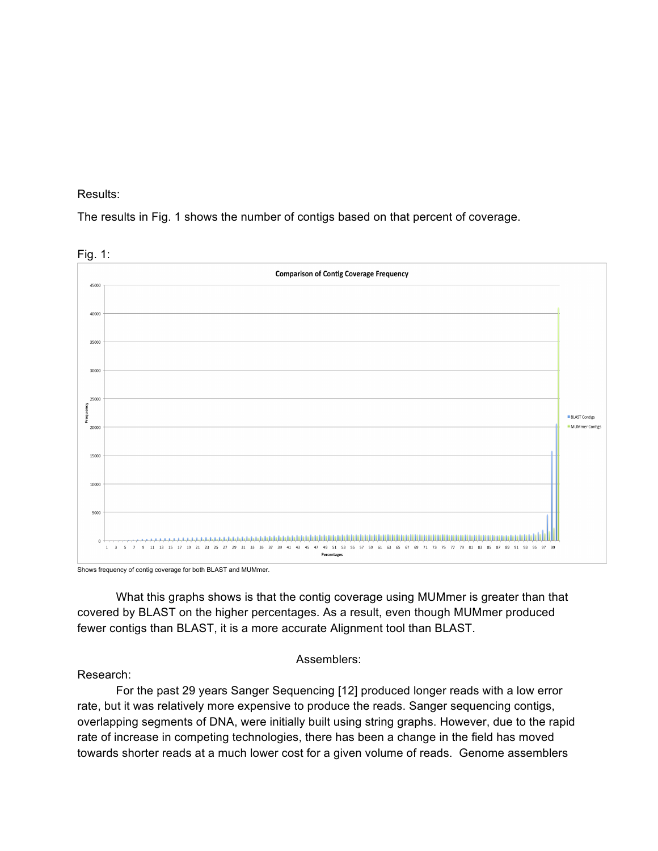#### Results:

The results in Fig. 1 shows the number of contigs based on that percent of coverage.



Shows frequency of contig coverage for both BLAST and MUMmer.

What this graphs shows is that the contig coverage using MUMmer is greater than that covered by BLAST on the higher percentages. As a result, even though MUMmer produced fewer contigs than BLAST, it is a more accurate Alignment tool than BLAST.

#### Assemblers:

Research:

For the past 29 years Sanger Sequencing [12] produced longer reads with a low error rate, but it was relatively more expensive to produce the reads. Sanger sequencing contigs, overlapping segments of DNA, were initially built using string graphs. However, due to the rapid rate of increase in competing technologies, there has been a change in the field has moved towards shorter reads at a much lower cost for a given volume of reads. Genome assemblers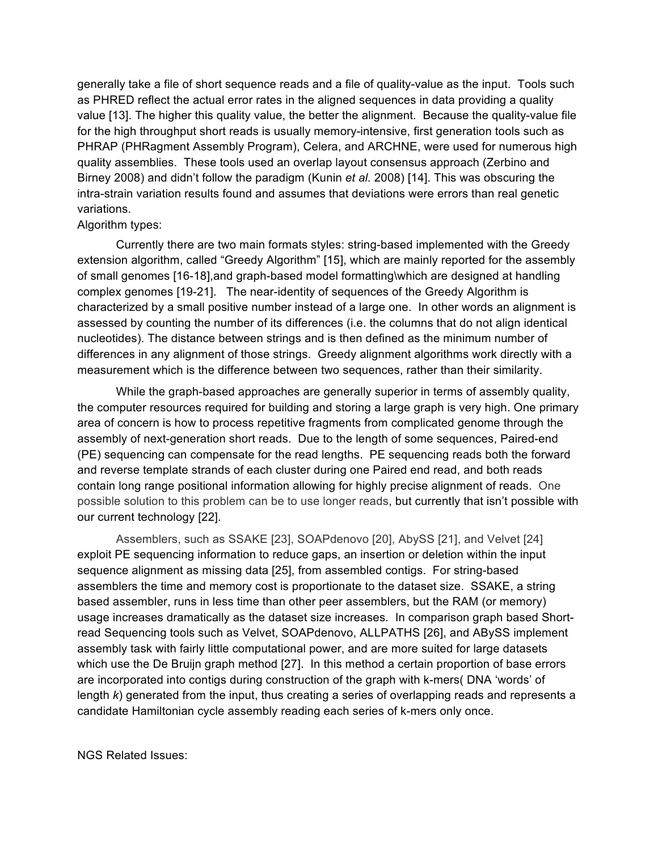generally take a file of short sequence reads and a file of quality-value as the input. Tools such as PHRED reflect the actual error rates in the aligned sequences in data providing a quality value [13]. The higher this quality value, the better the alignment. Because the quality-value file for the high throughput short reads is usually memory-intensive, first generation tools such as PHRAP (PHRagment Assembly Program), Celera, and ARCHNE, were used for numerous high quality assemblies. These tools used an overlap layout consensus approach (Zerbino and Birney 2008) and didn't follow the paradigm (Kunin *et al.* 2008) [14]. This was obscuring the intra-strain variation results found and assumes that deviations were errors than real genetic variations.

### Algorithm types:

Currently there are two main formats styles: string-based implemented with the Greedy extension algorithm, called "Greedy Algorithm" [15], which are mainly reported for the assembly of small genomes [16-18],and graph-based model formatting\which are designed at handling complex genomes [19-21]. The near-identity of sequences of the Greedy Algorithm is characterized by a small positive number instead of a large one. In other words an alignment is assessed by counting the number of its differences (i.e. the columns that do not align identical nucleotides). The distance between strings and is then defined as the minimum number of differences in any alignment of those strings. Greedy alignment algorithms work directly with a measurement which is the difference between two sequences, rather than their similarity.

While the graph-based approaches are generally superior in terms of assembly quality, the computer resources required for building and storing a large graph is very high. One primary area of concern is how to process repetitive fragments from complicated genome through the assembly of next-generation short reads. Due to the length of some sequences, Paired-end (PE) sequencing can compensate for the read lengths. PE sequencing reads both the forward and reverse template strands of each cluster during one Paired end read, and both reads contain long range positional information allowing for highly precise alignment of reads. One possible solution to this problem can be to use longer reads, but currently that isn't possible with our current technology [22].

Assemblers, such as SSAKE [23], SOAPdenovo [20], AbySS [21], and Velvet [24] exploit PE sequencing information to reduce gaps, an insertion or deletion within the input sequence alignment as missing data [25], from assembled contigs. For string-based assemblers the time and memory cost is proportionate to the dataset size. SSAKE, a string based assembler, runs in less time than other peer assemblers, but the RAM (or memory) usage increases dramatically as the dataset size increases. In comparison graph based Shortread Sequencing tools such as Velvet, SOAPdenovo, ALLPATHS [26], and ABySS implement assembly task with fairly little computational power, and are more suited for large datasets which use the De Bruijn graph method [27]. In this method a certain proportion of base errors are incorporated into contigs during construction of the graph with k-mers( DNA 'words' of length *k*) generated from the input, thus creating a series of overlapping reads and represents a candidate Hamiltonian cycle assembly reading each series of k-mers only once.

NGS Related Issues: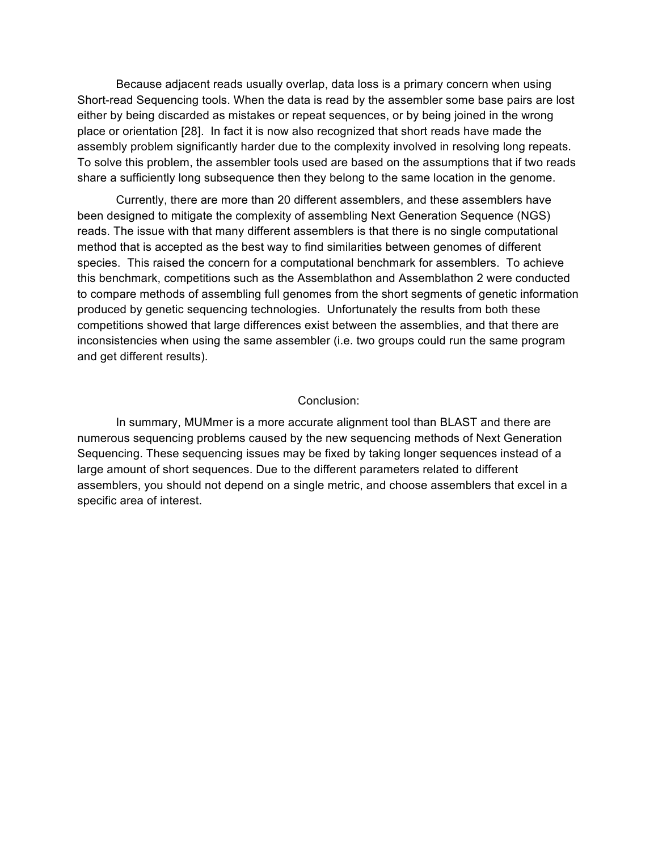Because adjacent reads usually overlap, data loss is a primary concern when using Short-read Sequencing tools. When the data is read by the assembler some base pairs are lost either by being discarded as mistakes or repeat sequences, or by being joined in the wrong place or orientation [28]. In fact it is now also recognized that short reads have made the assembly problem significantly harder due to the complexity involved in resolving long repeats. To solve this problem, the assembler tools used are based on the assumptions that if two reads share a sufficiently long subsequence then they belong to the same location in the genome.

Currently, there are more than 20 different assemblers, and these assemblers have been designed to mitigate the complexity of assembling Next Generation Sequence (NGS) reads. The issue with that many different assemblers is that there is no single computational method that is accepted as the best way to find similarities between genomes of different species. This raised the concern for a computational benchmark for assemblers. To achieve this benchmark, competitions such as the Assemblathon and Assemblathon 2 were conducted to compare methods of assembling full genomes from the short segments of genetic information produced by genetic sequencing technologies. Unfortunately the results from both these competitions showed that large differences exist between the assemblies, and that there are inconsistencies when using the same assembler (i.e. two groups could run the same program and get different results).

#### Conclusion:

In summary, MUMmer is a more accurate alignment tool than BLAST and there are numerous sequencing problems caused by the new sequencing methods of Next Generation Sequencing. These sequencing issues may be fixed by taking longer sequences instead of a large amount of short sequences. Due to the different parameters related to different assemblers, you should not depend on a single metric, and choose assemblers that excel in a specific area of interest.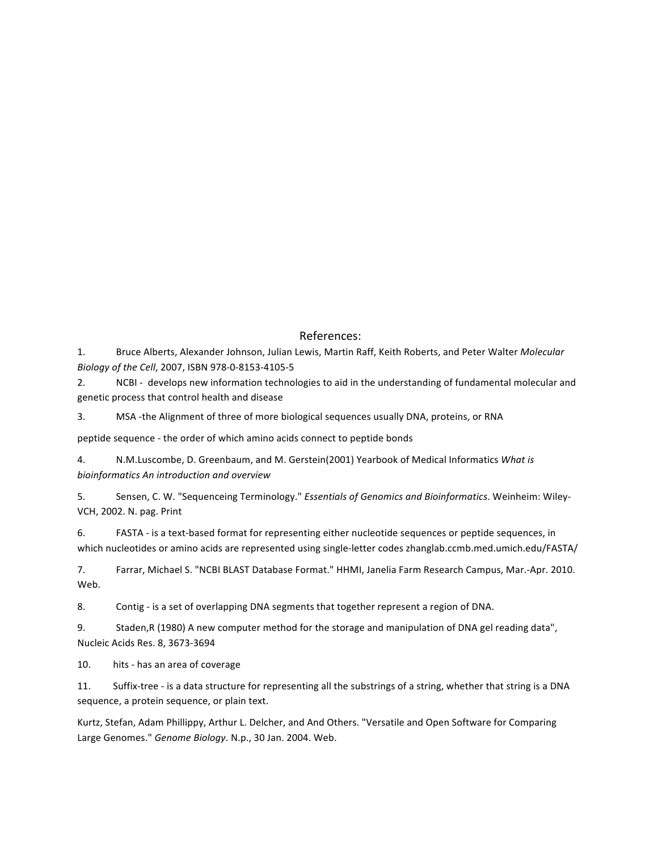#### References:

1. Bruce Alberts, Alexander Johnson, Julian Lewis, Martin Raff, Keith Roberts, and Peter Walter Molecular *Biology of the Cell*, 2007, ISBN 978-0-8153-4105-5

2. NCBI - develops new information technologies to aid in the understanding of fundamental molecular and genetic process that control health and disease

3. MSA -the Alignment of three of more biological sequences usually DNA, proteins, or RNA

peptide sequence - the order of which amino acids connect to peptide bonds

4. N.M.Luscombe, D. Greenbaum, and M. Gerstein(2001) Yearbook of Medical Informatics What is *bioinformatics An introduction and overview*

5. Sensen, C. W. "Sequenceing Terminology." *Essentials of Genomics and Bioinformatics*. Weinheim: Wiley-VCH, 2002. N. pag. Print

6. FASTA - is a text-based format for representing either nucleotide sequences or peptide sequences, in which nucleotides or amino acids are represented using single-letter codes zhanglab.ccmb.med.umich.edu/FASTA/

7. Farrar, Michael S. "NCBI BLAST Database Format." HHMI, Janelia Farm Research Campus, Mar.-Apr. 2010. Web.

8. Contig - is a set of overlapping DNA segments that together represent a region of DNA.

9. Staden, R (1980) A new computer method for the storage and manipulation of DNA gel reading data", Nucleic Acids Res. 8, 3673-3694

10. hits - has an area of coverage

11. Suffix-tree - is a data structure for representing all the substrings of a string, whether that string is a DNA sequence, a protein sequence, or plain text.

Kurtz, Stefan, Adam Phillippy, Arthur L. Delcher, and And Others. "Versatile and Open Software for Comparing Large Genomes." Genome Biology. N.p., 30 Jan. 2004. Web.